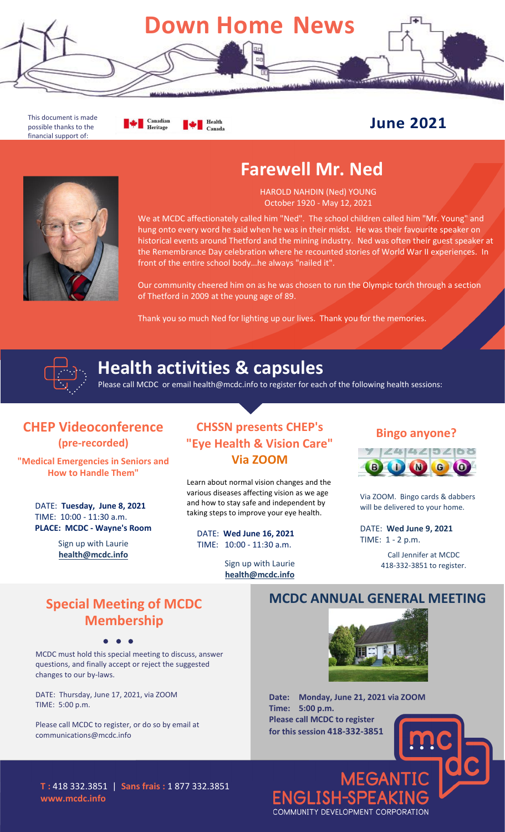

This document is made possible thanks to the financial support of:

**Example 1** Canadian Health Canada

## **June 2021**

# **Farewell Mr. Ned**



We at MCDC affectionately called him "Ned". The school children called him "Mr. Young" and hung onto every word he said when he was in their midst. He was their favourite speaker on historical events around Thetford and the mining industry. Ned was often their guest speaker at the Remembrance Day celebration where he recounted stories of World War II experiences. In front of the entire school body…he always "nailed it".

Our community cheered him on as he was chosen to run the Olympic torch through a section of Thetford in 2009 at the young age of 89.

Thank you so much Ned for lighting up our lives. Thank you for the memories.



# **Health activities & capsules**

Please call MCDC or email health@mcdc.info to register for each of the following health sessions:

#### **CHEP Videoconference (pre-recorded)**

**"Medical Emergencies in Seniors and How to Handle Them"**

> DATE: **Tuesday, June 8, 2021** TIME: 10:00 - 11:30 a.m. **PLACE: MCDC - Wayne's Room**

> > Sign up with Laurie **health@mcdc.info**

### **CHSSN presents CHEP's "Eye Health & Vision Care" Via ZOOM**

Learn about normal vision changes and the various diseases affecting vision as we age and how to stay safe and independent by taking steps to improve your eye health.

DATE: **Wed June 16, 2021** TIME: 10:00 - 11:30 a.m.

> Sign up with Laurie **health@mcdc.info**

#### **Bingo anyone?**



Via ZOOM. Bingo cards & dabbers will be delivered to your home.

DATE: **Wed June 9, 2021** TIME: 1 - 2 p.m.

> Call Jennifer at MCDC 418-332-3851 to register.

## **Special Meeting of MCDC Membership**

MCDC must hold this special meeting to discuss, answer questions, and finally accept or reject the suggested changes to our by-laws.

DATE: Thursday, June 17, 2021, via ZOOM TIME: 5:00 p.m.

Please call MCDC to register, or do so by email at communications@mcdc.info

#### **MCDC ANNUAL GENERAL MEETING**



**MEGANT** 

**Date: Monday, June 21, 2021 via ZOOM Time: 5:00 p.m. Please call MCDC to register for this session 418-332-3851**

COMMUNITY DEVELOPMENT CORPORATION

**ENGLISH-SPEA** 

**T :** 418 332.3851 | **Sans frais :** 1 877 332.3851 **www.mcdc.info**